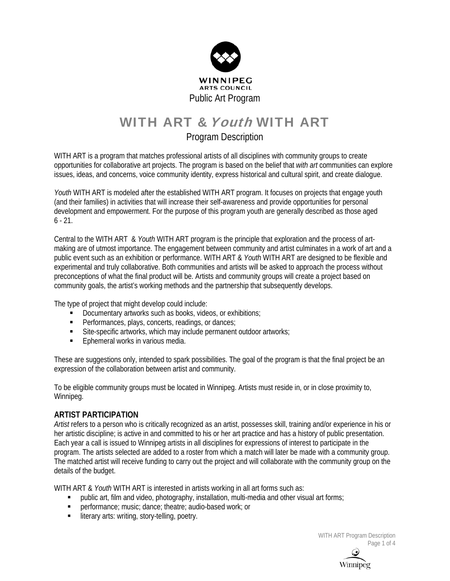

# WITH ART & Youth WITH ART

# Program Description

WITH ART is a program that matches professional artists of all disciplines with community groups to create opportunities for collaborative art projects. The program is based on the belief that *with art* communities can explore issues, ideas, and concerns, voice community identity, express historical and cultural spirit, and create dialogue.

*Youth* WITH ART is modeled after the established WITH ART program. It focuses on projects that engage youth (and their families) in activities that will increase their self-awareness and provide opportunities for personal development and empowerment. For the purpose of this program youth are generally described as those aged  $6 - 21$ .

Central to the WITH ART & *Youth* WITH ART program is the principle that exploration and the process of artmaking are of utmost importance. The engagement between community and artist culminates in a work of art and a public event such as an exhibition or performance. WITH ART & *Youth* WITH ART are designed to be flexible and experimental and truly collaborative. Both communities and artists will be asked to approach the process without preconceptions of what the final product will be. Artists and community groups will create a project based on community goals, the artist's working methods and the partnership that subsequently develops.

The type of project that might develop could include:

- Documentary artworks such as books, videos, or exhibitions;
- **Performances, plays, concerts, readings, or dances;**
- Site-specific artworks, which may include permanent outdoor artworks;
- Ephemeral works in various media.

These are suggestions only, intended to spark possibilities. The goal of the program is that the final project be an expression of the collaboration between artist and community.

To be eligible community groups must be located in Winnipeg. Artists must reside in, or in close proximity to, Winnipeg.

#### **ARTIST PARTICIPATION**

*Artist* refers to a person who is critically recognized as an artist, possesses skill, training and/or experience in his or her artistic discipline; is active in and committed to his or her art practice and has a history of public presentation. Each year a call is issued to Winnipeg artists in all disciplines for expressions of interest to participate in the program. The artists selected are added to a roster from which a match will later be made with a community group. The matched artist will receive funding to carry out the project and will collaborate with the community group on the details of the budget.

WITH ART & *Youth* WITH ART is interested in artists working in all art forms such as:

- public art, film and video, photography, installation, multi-media and other visual art forms;
- **Paramers** performance; music; dance; theatre; audio-based work; or
- **I** literary arts: writing, story-telling, poetry.

WITH ART Program Description Page 1 of 4

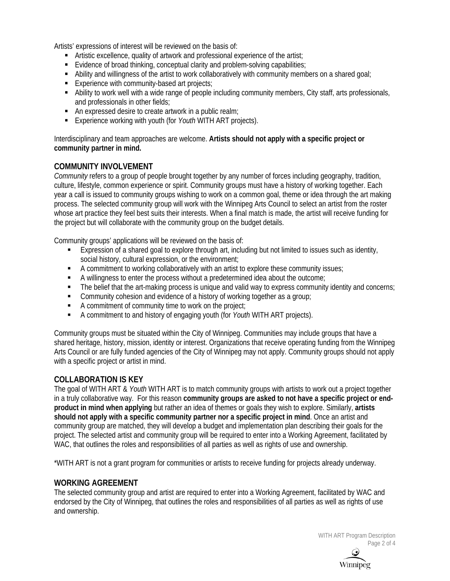Artists' expressions of interest will be reviewed on the basis of:

- Artistic excellence, quality of artwork and professional experience of the artist;
- Evidence of broad thinking, conceptual clarity and problem-solving capabilities;
- Ability and willingness of the artist to work collaboratively with community members on a shared goal;
- Experience with community-based art projects;
- Ability to work well with a wide range of people including community members, City staff, arts professionals, and professionals in other fields;
- An expressed desire to create artwork in a public realm;
- Experience working with youth (for *Youth* WITH ART projects).

Interdisciplinary and team approaches are welcome. **Artists should not apply with a specific project or community partner in mind.**

## **COMMUNITY INVOLVEMENT**

*Community* refers to a group of people brought together by any number of forces including geography, tradition, culture, lifestyle, common experience or spirit. Community groups must have a history of working together. Each year a call is issued to community groups wishing to work on a common goal, theme or idea through the art making process. The selected community group will work with the Winnipeg Arts Council to select an artist from the roster whose art practice they feel best suits their interests. When a final match is made, the artist will receive funding for the project but will collaborate with the community group on the budget details.

Community groups' applications will be reviewed on the basis of:

- Expression of a shared goal to explore through art, including but not limited to issues such as identity, social history, cultural expression, or the environment;
- A commitment to working collaboratively with an artist to explore these community issues;
- A willingness to enter the process without a predetermined idea about the outcome;
- The belief that the art-making process is unique and valid way to express community identity and concerns;
- **EXECOMMUNITY COMESS COMES 2018 COMMUNICE** COMMUNITY CONSIDENT And evidence of a history community cohesion and evidence of a history of working together as a group;
- A commitment of community time to work on the project;
- A commitment to and history of engaging youth (for *Youth* WITH ART projects).

Community groups must be situated within the City of Winnipeg. Communities may include groups that have a shared heritage, history, mission, identity or interest. Organizations that receive operating funding from the Winnipeg Arts Council or are fully funded agencies of the City of Winnipeg may not apply. Community groups should not apply with a specific project or artist in mind.

#### **COLLABORATION IS KEY**

The goal of WITH ART & *Youth* WITH ART is to match community groups with artists to work out a project together in a truly collaborative way. For this reason **community groups are asked to not have a specific project or endproduct in mind when applying** but rather an idea of themes or goals they wish to explore. Similarly, **artists should not apply with a specific community partner nor a specific project in mind**. Once an artist and community group are matched, they will develop a budget and implementation plan describing their goals for the project. The selected artist and community group will be required to enter into a Working Agreement, facilitated by WAC, that outlines the roles and responsibilities of all parties as well as rights of use and ownership.

\*WITH ART is not a grant program for communities or artists to receive funding for projects already underway.

#### **WORKING AGREEMENT**

The selected community group and artist are required to enter into a Working Agreement, facilitated by WAC and endorsed by the City of Winnipeg, that outlines the roles and responsibilities of all parties as well as rights of use and ownership.

> WITH ART Program Description Page 2 of 4

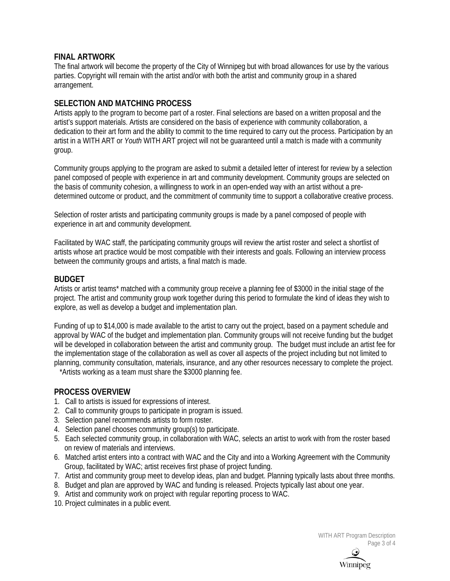#### **FINAL ARTWORK**

The final artwork will become the property of the City of Winnipeg but with broad allowances for use by the various parties. Copyright will remain with the artist and/or with both the artist and community group in a shared arrangement.

#### **SELECTION AND MATCHING PROCESS**

Artists apply to the program to become part of a roster. Final selections are based on a written proposal and the artist's support materials. Artists are considered on the basis of experience with community collaboration, a dedication to their art form and the ability to commit to the time required to carry out the process. Participation by an artist in a WITH ART or *Youth* WITH ART project will not be guaranteed until a match is made with a community group.

Community groups applying to the program are asked to submit a detailed letter of interest for review by a selection panel composed of people with experience in art and community development. Community groups are selected on the basis of community cohesion, a willingness to work in an open-ended way with an artist without a predetermined outcome or product, and the commitment of community time to support a collaborative creative process.

Selection of roster artists and participating community groups is made by a panel composed of people with experience in art and community development.

Facilitated by WAC staff, the participating community groups will review the artist roster and select a shortlist of artists whose art practice would be most compatible with their interests and goals. Following an interview process between the community groups and artists, a final match is made.

#### **BUDGET**

Artists or artist teams\* matched with a community group receive a planning fee of \$3000 in the initial stage of the project. The artist and community group work together during this period to formulate the kind of ideas they wish to explore, as well as develop a budget and implementation plan.

Funding of up to \$14,000 is made available to the artist to carry out the project, based on a payment schedule and approval by WAC of the budget and implementation plan. Community groups will not receive funding but the budget will be developed in collaboration between the artist and community group. The budget must include an artist fee for the implementation stage of the collaboration as well as cover all aspects of the project including but not limited to planning, community consultation, materials, insurance, and any other resources necessary to complete the project.

\*Artists working as a team must share the \$3000 planning fee.

#### **PROCESS OVERVIEW**

- 1. Call to artists is issued for expressions of interest.
- 2. Call to community groups to participate in program is issued.
- 3. Selection panel recommends artists to form roster.
- 4. Selection panel chooses community group(s) to participate.
- 5. Each selected community group, in collaboration with WAC, selects an artist to work with from the roster based on review of materials and interviews.
- 6. Matched artist enters into a contract with WAC and the City and into a Working Agreement with the Community Group, facilitated by WAC; artist receives first phase of project funding.
- 7. Artist and community group meet to develop ideas, plan and budget. Planning typically lasts about three months.
- 8. Budget and plan are approved by WAC and funding is released. Projects typically last about one year.
- 9. Artist and community work on project with regular reporting process to WAC.
- 10. Project culminates in a public event.

WITH ART Program Description Page 3 of 4